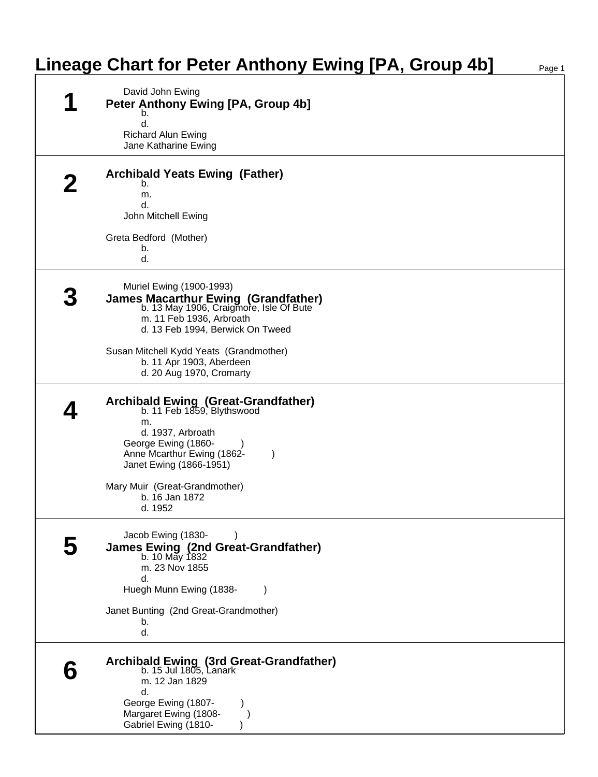## **Lineage Chart for Peter Anthony Ewing [PA, Group 4b]**

| David John Ewing<br>Peter Anthony Ewing [PA, Group 4b]<br>b.<br>d.<br><b>Richard Alun Ewing</b><br>Jane Katharine Ewing                                                                                                                                                              |
|--------------------------------------------------------------------------------------------------------------------------------------------------------------------------------------------------------------------------------------------------------------------------------------|
| <b>Archibald Yeats Ewing (Father)</b><br>b.<br>m.<br>d.<br>John Mitchell Ewing<br>Greta Bedford (Mother)<br>b.<br>d.                                                                                                                                                                 |
| Muriel Ewing (1900-1993)<br><b>James Macarthur Ewing (Grandfather)</b><br>b. 13 May 1906, Craigmore, Isle Of Bute<br>m. 11 Feb 1936, Arbroath<br>d. 13 Feb 1994, Berwick On Tweed<br>Susan Mitchell Kydd Yeats (Grandmother)<br>b. 11 Apr 1903, Aberdeen<br>d. 20 Aug 1970, Cromarty |
| <b>Archibald Ewing (Great-Grandfather)</b><br>b. $11$ Feb $1859$ , Blythswood<br>m.<br>d. 1937, Arbroath<br>George Ewing (1860-<br>Anne Mcarthur Ewing (1862-<br>$\lambda$<br>Janet Ewing (1866-1951)<br>Mary Muir (Great-Grandmother)<br>b. 16 Jan 1872<br>d. 1952                  |
| Jacob Ewing (1830-<br>James Ewing (2nd Great-Grandfather)<br>b. 10 May 1832<br>m. 23 Nov 1855<br>d.<br>Huegh Munn Ewing (1838-<br>Janet Bunting (2nd Great-Grandmother)<br>b.<br>d.                                                                                                  |
| Archibald Ewing (3rd Great-Grandfather)<br>b. 15 Jul 1805, Lanark<br>m. 12 Jan 1829<br>d.<br>George Ewing (1807-<br>Margaret Ewing (1808-<br>Gabriel Ewing (1810-                                                                                                                    |